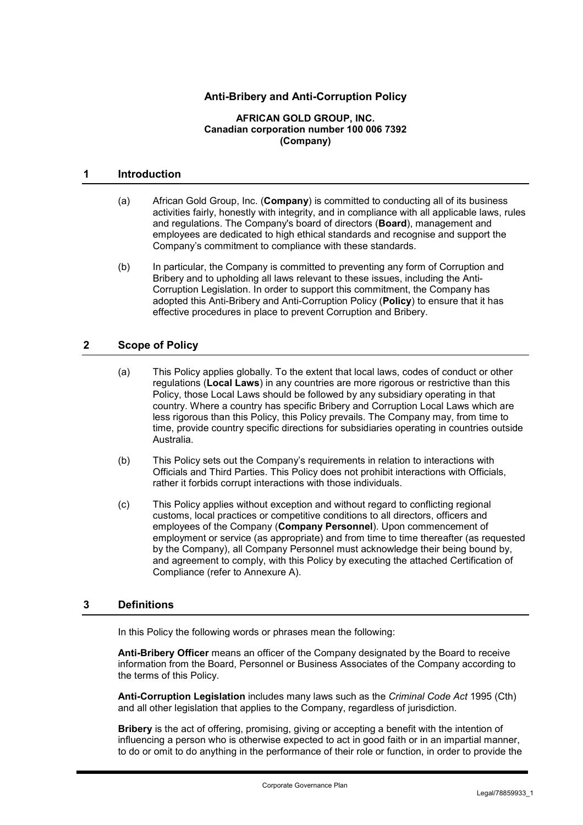# **Anti-Bribery and Anti-Corruption Policy**

#### **AFRICAN GOLD GROUP, INC. Canadian corporation number 100 006 7392 (Company)**

#### **1 Introduction**

- (a) African Gold Group, Inc. (**Company**) is committed to conducting all of its business activities fairly, honestly with integrity, and in compliance with all applicable laws, rules and regulations. The Company's board of directors (**Board**), management and employees are dedicated to high ethical standards and recognise and support the Company's commitment to compliance with these standards.
- (b) In particular, the Company is committed to preventing any form of Corruption and Bribery and to upholding all laws relevant to these issues, including the Anti-Corruption Legislation. In order to support this commitment, the Company has adopted this Anti-Bribery and Anti-Corruption Policy (**Policy**) to ensure that it has effective procedures in place to prevent Corruption and Bribery.

### **2 Scope of Policy**

- (a) This Policy applies globally. To the extent that local laws, codes of conduct or other regulations (**Local Laws**) in any countries are more rigorous or restrictive than this Policy, those Local Laws should be followed by any subsidiary operating in that country. Where a country has specific Bribery and Corruption Local Laws which are less rigorous than this Policy, this Policy prevails. The Company may, from time to time, provide country specific directions for subsidiaries operating in countries outside Australia.
- (b) This Policy sets out the Company's requirements in relation to interactions with Officials and Third Parties. This Policy does not prohibit interactions with Officials, rather it forbids corrupt interactions with those individuals.
- (c) This Policy applies without exception and without regard to conflicting regional customs, local practices or competitive conditions to all directors, officers and employees of the Company (**Company Personnel**). Upon commencement of employment or service (as appropriate) and from time to time thereafter (as requested by the Company), all Company Personnel must acknowledge their being bound by, and agreement to comply, with this Policy by executing the attached Certification of Compliance (refer to Annexure A).

#### **3 Definitions**

In this Policy the following words or phrases mean the following:

**Anti-Bribery Officer** means an officer of the Company designated by the Board to receive information from the Board, Personnel or Business Associates of the Company according to the terms of this Policy.

**Anti-Corruption Legislation** includes many laws such as the *Criminal Code Act* 1995 (Cth) and all other legislation that applies to the Company, regardless of jurisdiction.

**Bribery** is the act of offering, promising, giving or accepting a benefit with the intention of influencing a person who is otherwise expected to act in good faith or in an impartial manner, to do or omit to do anything in the performance of their role or function, in order to provide the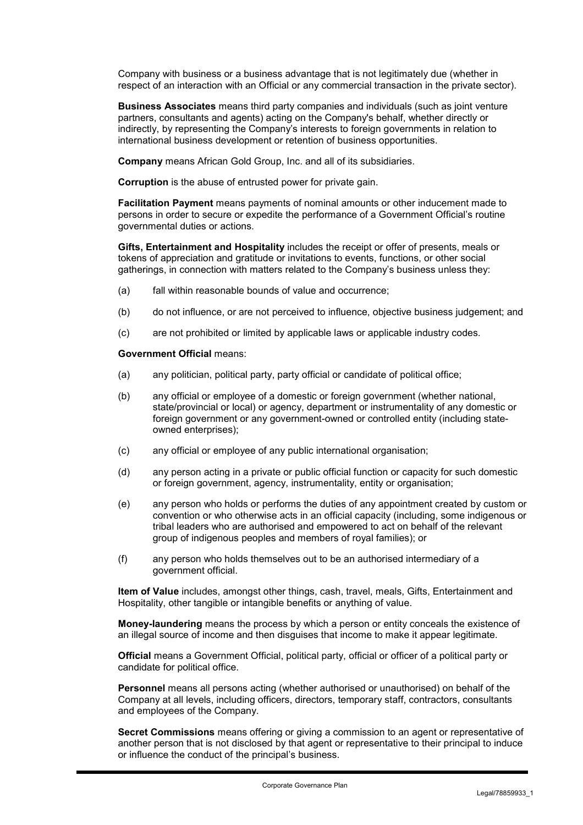Company with business or a business advantage that is not legitimately due (whether in respect of an interaction with an Official or any commercial transaction in the private sector).

**Business Associates** means third party companies and individuals (such as joint venture partners, consultants and agents) acting on the Company's behalf, whether directly or indirectly, by representing the Company's interests to foreign governments in relation to international business development or retention of business opportunities.

**Company** means African Gold Group, Inc. and all of its subsidiaries.

**Corruption** is the abuse of entrusted power for private gain.

**Facilitation Payment** means payments of nominal amounts or other inducement made to persons in order to secure or expedite the performance of a Government Official's routine governmental duties or actions.

**Gifts, Entertainment and Hospitality** includes the receipt or offer of presents, meals or tokens of appreciation and gratitude or invitations to events, functions, or other social gatherings, in connection with matters related to the Company's business unless they:

- (a) fall within reasonable bounds of value and occurrence;
- (b) do not influence, or are not perceived to influence, objective business judgement; and
- (c) are not prohibited or limited by applicable laws or applicable industry codes.

#### **Government Official** means:

- (a) any politician, political party, party official or candidate of political office;
- (b) any official or employee of a domestic or foreign government (whether national, state/provincial or local) or agency, department or instrumentality of any domestic or foreign government or any government-owned or controlled entity (including stateowned enterprises);
- (c) any official or employee of any public international organisation;
- (d) any person acting in a private or public official function or capacity for such domestic or foreign government, agency, instrumentality, entity or organisation;
- (e) any person who holds or performs the duties of any appointment created by custom or convention or who otherwise acts in an official capacity (including, some indigenous or tribal leaders who are authorised and empowered to act on behalf of the relevant group of indigenous peoples and members of royal families); or
- (f) any person who holds themselves out to be an authorised intermediary of a government official.

**Item of Value** includes, amongst other things, cash, travel, meals, Gifts, Entertainment and Hospitality, other tangible or intangible benefits or anything of value.

**Money-laundering** means the process by which a person or entity conceals the existence of an illegal source of income and then disguises that income to make it appear legitimate.

**Official** means a Government Official, political party, official or officer of a political party or candidate for political office.

**Personnel** means all persons acting (whether authorised or unauthorised) on behalf of the Company at all levels, including officers, directors, temporary staff, contractors, consultants and employees of the Company.

**Secret Commissions** means offering or giving a commission to an agent or representative of another person that is not disclosed by that agent or representative to their principal to induce or influence the conduct of the principal's business.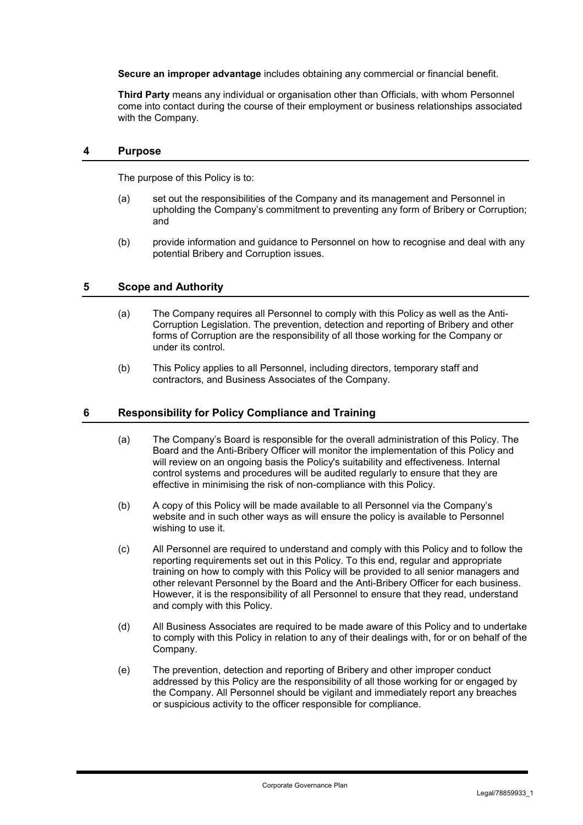**Secure an improper advantage** includes obtaining any commercial or financial benefit.

**Third Party** means any individual or organisation other than Officials, with whom Personnel come into contact during the course of their employment or business relationships associated with the Company.

#### **4 Purpose**

The purpose of this Policy is to:

- (a) set out the responsibilities of the Company and its management and Personnel in upholding the Company's commitment to preventing any form of Bribery or Corruption; and
- (b) provide information and guidance to Personnel on how to recognise and deal with any potential Bribery and Corruption issues.

### **5 Scope and Authority**

- (a) The Company requires all Personnel to comply with this Policy as well as the Anti-Corruption Legislation. The prevention, detection and reporting of Bribery and other forms of Corruption are the responsibility of all those working for the Company or under its control.
- (b) This Policy applies to all Personnel, including directors, temporary staff and contractors, and Business Associates of the Company.

### **6 Responsibility for Policy Compliance and Training**

- (a) The Company's Board is responsible for the overall administration of this Policy. The Board and the Anti-Bribery Officer will monitor the implementation of this Policy and will review on an ongoing basis the Policy's suitability and effectiveness. Internal control systems and procedures will be audited regularly to ensure that they are effective in minimising the risk of non-compliance with this Policy.
- (b) A copy of this Policy will be made available to all Personnel via the Company's website and in such other ways as will ensure the policy is available to Personnel wishing to use it.
- (c) All Personnel are required to understand and comply with this Policy and to follow the reporting requirements set out in this Policy. To this end, regular and appropriate training on how to comply with this Policy will be provided to all senior managers and other relevant Personnel by the Board and the Anti-Bribery Officer for each business. However, it is the responsibility of all Personnel to ensure that they read, understand and comply with this Policy.
- (d) All Business Associates are required to be made aware of this Policy and to undertake to comply with this Policy in relation to any of their dealings with, for or on behalf of the Company.
- (e) The prevention, detection and reporting of Bribery and other improper conduct addressed by this Policy are the responsibility of all those working for or engaged by the Company. All Personnel should be vigilant and immediately report any breaches or suspicious activity to the officer responsible for compliance.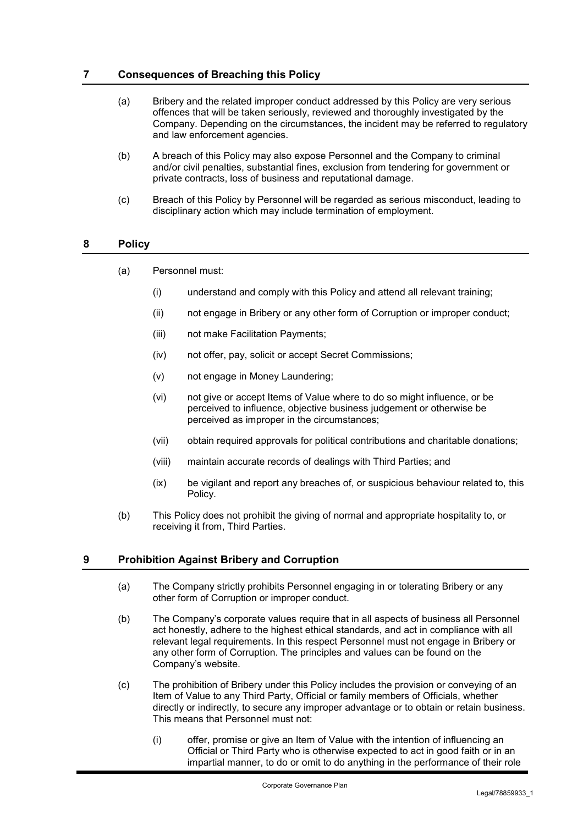### **7 Consequences of Breaching this Policy**

- (a) Bribery and the related improper conduct addressed by this Policy are very serious offences that will be taken seriously, reviewed and thoroughly investigated by the Company. Depending on the circumstances, the incident may be referred to regulatory and law enforcement agencies.
- (b) A breach of this Policy may also expose Personnel and the Company to criminal and/or civil penalties, substantial fines, exclusion from tendering for government or private contracts, loss of business and reputational damage.
- (c) Breach of this Policy by Personnel will be regarded as serious misconduct, leading to disciplinary action which may include termination of employment.

## **8 Policy**

- (a) Personnel must:
	- (i) understand and comply with this Policy and attend all relevant training;
	- (ii) not engage in Bribery or any other form of Corruption or improper conduct;
	- (iii) not make Facilitation Payments;
	- (iv) not offer, pay, solicit or accept Secret Commissions;
	- (v) not engage in Money Laundering;
	- (vi) not give or accept Items of Value where to do so might influence, or be perceived to influence, objective business judgement or otherwise be perceived as improper in the circumstances;
	- (vii) obtain required approvals for political contributions and charitable donations;
	- (viii) maintain accurate records of dealings with Third Parties; and
	- (ix) be vigilant and report any breaches of, or suspicious behaviour related to, this Policy.
- (b) This Policy does not prohibit the giving of normal and appropriate hospitality to, or receiving it from, Third Parties.

#### **9 Prohibition Against Bribery and Corruption**

- (a) The Company strictly prohibits Personnel engaging in or tolerating Bribery or any other form of Corruption or improper conduct.
- (b) The Company's corporate values require that in all aspects of business all Personnel act honestly, adhere to the highest ethical standards, and act in compliance with all relevant legal requirements. In this respect Personnel must not engage in Bribery or any other form of Corruption. The principles and values can be found on the Company's website.
- (c) The prohibition of Bribery under this Policy includes the provision or conveying of an Item of Value to any Third Party, Official or family members of Officials, whether directly or indirectly, to secure any improper advantage or to obtain or retain business. This means that Personnel must not:
	- (i) offer, promise or give an Item of Value with the intention of influencing an Official or Third Party who is otherwise expected to act in good faith or in an impartial manner, to do or omit to do anything in the performance of their role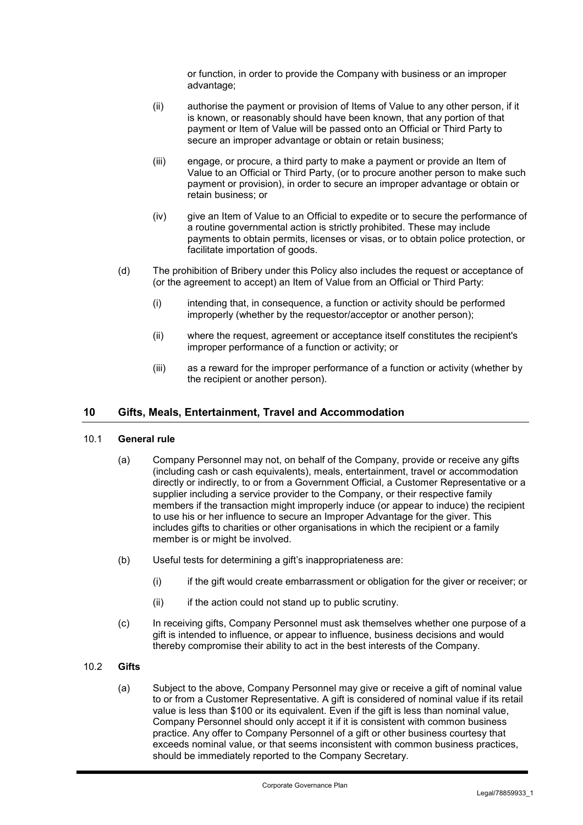or function, in order to provide the Company with business or an improper advantage;

- (ii) authorise the payment or provision of Items of Value to any other person, if it is known, or reasonably should have been known, that any portion of that payment or Item of Value will be passed onto an Official or Third Party to secure an improper advantage or obtain or retain business;
- (iii) engage, or procure, a third party to make a payment or provide an Item of Value to an Official or Third Party, (or to procure another person to make such payment or provision), in order to secure an improper advantage or obtain or retain business; or
- (iv) give an Item of Value to an Official to expedite or to secure the performance of a routine governmental action is strictly prohibited. These may include payments to obtain permits, licenses or visas, or to obtain police protection, or facilitate importation of goods.
- (d) The prohibition of Bribery under this Policy also includes the request or acceptance of (or the agreement to accept) an Item of Value from an Official or Third Party:
	- (i) intending that, in consequence, a function or activity should be performed improperly (whether by the requestor/acceptor or another person);
	- (ii) where the request, agreement or acceptance itself constitutes the recipient's improper performance of a function or activity; or
	- (iii) as a reward for the improper performance of a function or activity (whether by the recipient or another person).

## **10 Gifts, Meals, Entertainment, Travel and Accommodation**

#### 10.1 **General rule**

- (a) Company Personnel may not, on behalf of the Company, provide or receive any gifts (including cash or cash equivalents), meals, entertainment, travel or accommodation directly or indirectly, to or from a Government Official, a Customer Representative or a supplier including a service provider to the Company, or their respective family members if the transaction might improperly induce (or appear to induce) the recipient to use his or her influence to secure an Improper Advantage for the giver. This includes gifts to charities or other organisations in which the recipient or a family member is or might be involved.
- (b) Useful tests for determining a gift's inappropriateness are:
	- (i) if the gift would create embarrassment or obligation for the giver or receiver; or
	- (ii) if the action could not stand up to public scrutiny.
- (c) In receiving gifts, Company Personnel must ask themselves whether one purpose of a gift is intended to influence, or appear to influence, business decisions and would thereby compromise their ability to act in the best interests of the Company.

#### 10.2 **Gifts**

(a) Subject to the above, Company Personnel may give or receive a gift of nominal value to or from a Customer Representative. A gift is considered of nominal value if its retail value is less than \$100 or its equivalent. Even if the gift is less than nominal value, Company Personnel should only accept it if it is consistent with common business practice. Any offer to Company Personnel of a gift or other business courtesy that exceeds nominal value, or that seems inconsistent with common business practices, should be immediately reported to the Company Secretary.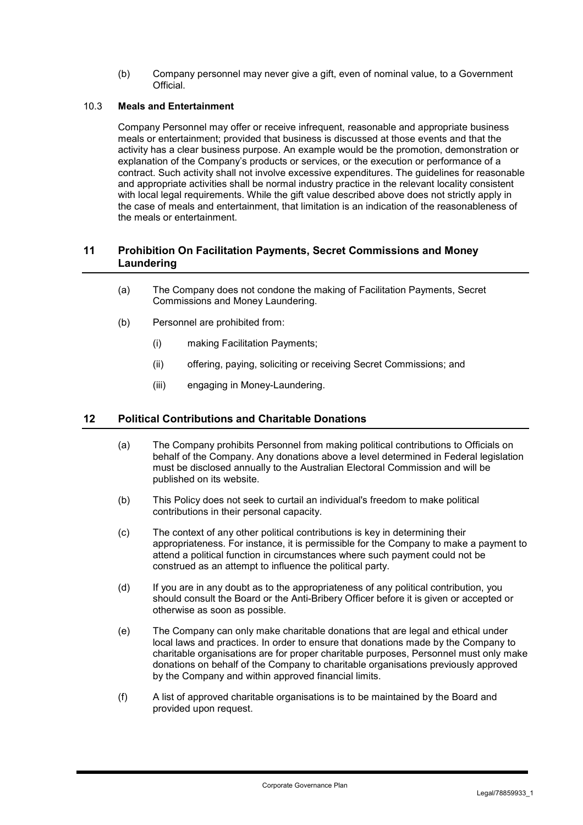(b) Company personnel may never give a gift, even of nominal value, to a Government **Official** 

#### 10.3 **Meals and Entertainment**

Company Personnel may offer or receive infrequent, reasonable and appropriate business meals or entertainment; provided that business is discussed at those events and that the activity has a clear business purpose. An example would be the promotion, demonstration or explanation of the Company's products or services, or the execution or performance of a contract. Such activity shall not involve excessive expenditures. The guidelines for reasonable and appropriate activities shall be normal industry practice in the relevant locality consistent with local legal requirements. While the gift value described above does not strictly apply in the case of meals and entertainment, that limitation is an indication of the reasonableness of the meals or entertainment.

#### **11 Prohibition On Facilitation Payments, Secret Commissions and Money Laundering**

- (a) The Company does not condone the making of Facilitation Payments, Secret Commissions and Money Laundering.
- (b) Personnel are prohibited from:
	- (i) making Facilitation Payments;
	- (ii) offering, paying, soliciting or receiving Secret Commissions; and
	- (iii) engaging in Money-Laundering.

#### **12 Political Contributions and Charitable Donations**

- (a) The Company prohibits Personnel from making political contributions to Officials on behalf of the Company. Any donations above a level determined in Federal legislation must be disclosed annually to the Australian Electoral Commission and will be published on its website.
- (b) This Policy does not seek to curtail an individual's freedom to make political contributions in their personal capacity.
- (c) The context of any other political contributions is key in determining their appropriateness. For instance, it is permissible for the Company to make a payment to attend a political function in circumstances where such payment could not be construed as an attempt to influence the political party.
- (d) If you are in any doubt as to the appropriateness of any political contribution, you should consult the Board or the Anti-Bribery Officer before it is given or accepted or otherwise as soon as possible.
- (e) The Company can only make charitable donations that are legal and ethical under local laws and practices. In order to ensure that donations made by the Company to charitable organisations are for proper charitable purposes, Personnel must only make donations on behalf of the Company to charitable organisations previously approved by the Company and within approved financial limits.
- (f) A list of approved charitable organisations is to be maintained by the Board and provided upon request.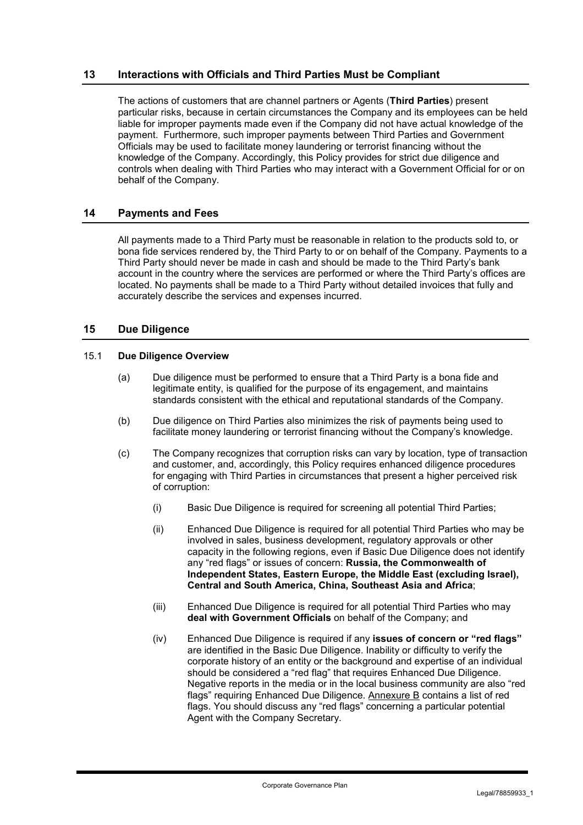## **13 Interactions with Officials and Third Parties Must be Compliant**

The actions of customers that are channel partners or Agents (**Third Parties**) present particular risks, because in certain circumstances the Company and its employees can be held liable for improper payments made even if the Company did not have actual knowledge of the payment. Furthermore, such improper payments between Third Parties and Government Officials may be used to facilitate money laundering or terrorist financing without the knowledge of the Company. Accordingly, this Policy provides for strict due diligence and controls when dealing with Third Parties who may interact with a Government Official for or on behalf of the Company.

#### **14 Payments and Fees**

All payments made to a Third Party must be reasonable in relation to the products sold to, or bona fide services rendered by, the Third Party to or on behalf of the Company. Payments to a Third Party should never be made in cash and should be made to the Third Party's bank account in the country where the services are performed or where the Third Party's offices are located. No payments shall be made to a Third Party without detailed invoices that fully and accurately describe the services and expenses incurred.

### **15 Due Diligence**

#### 15.1 **Due Diligence Overview**

- (a) Due diligence must be performed to ensure that a Third Party is a bona fide and legitimate entity, is qualified for the purpose of its engagement, and maintains standards consistent with the ethical and reputational standards of the Company.
- (b) Due diligence on Third Parties also minimizes the risk of payments being used to facilitate money laundering or terrorist financing without the Company's knowledge.
- (c) The Company recognizes that corruption risks can vary by location, type of transaction and customer, and, accordingly, this Policy requires enhanced diligence procedures for engaging with Third Parties in circumstances that present a higher perceived risk of corruption:
	- (i) Basic Due Diligence is required for screening all potential Third Parties;
	- (ii) Enhanced Due Diligence is required for all potential Third Parties who may be involved in sales, business development, regulatory approvals or other capacity in the following regions, even if Basic Due Diligence does not identify any "red flags" or issues of concern: **Russia, the Commonwealth of Independent States, Eastern Europe, the Middle East (excluding Israel), Central and South America, China, Southeast Asia and Africa**;
	- (iii) Enhanced Due Diligence is required for all potential Third Parties who may **deal with Government Officials** on behalf of the Company; and
	- (iv) Enhanced Due Diligence is required if any **issues of concern or "red flags"** are identified in the Basic Due Diligence. Inability or difficulty to verify the corporate history of an entity or the background and expertise of an individual should be considered a "red flag" that requires Enhanced Due Diligence. Negative reports in the media or in the local business community are also "red flags" requiring Enhanced Due Diligence. Annexure B contains a list of red flags. You should discuss any "red flags" concerning a particular potential Agent with the Company Secretary.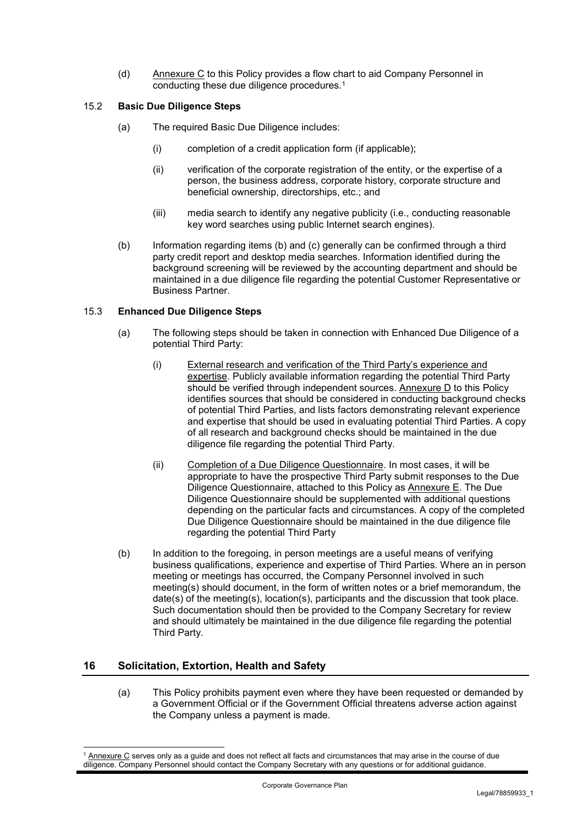(d) Annexure C to this Policy provides a flow chart to aid Company Personnel in conducting these due diligence procedures.1

### 15.2 **Basic Due Diligence Steps**

- (a) The required Basic Due Diligence includes:
	- (i) completion of a credit application form (if applicable);
	- (ii) verification of the corporate registration of the entity, or the expertise of a person, the business address, corporate history, corporate structure and beneficial ownership, directorships, etc.; and
	- (iii) media search to identify any negative publicity (i.e., conducting reasonable key word searches using public Internet search engines).
- (b) Information regarding items (b) and (c) generally can be confirmed through a third party credit report and desktop media searches. Information identified during the background screening will be reviewed by the accounting department and should be maintained in a due diligence file regarding the potential Customer Representative or Business Partner.

#### 15.3 **Enhanced Due Diligence Steps**

- (a) The following steps should be taken in connection with Enhanced Due Diligence of a potential Third Party:
	- (i) External research and verification of the Third Party's experience and expertise. Publicly available information regarding the potential Third Party should be verified through independent sources. Annexure D to this Policy identifies sources that should be considered in conducting background checks of potential Third Parties, and lists factors demonstrating relevant experience and expertise that should be used in evaluating potential Third Parties. A copy of all research and background checks should be maintained in the due diligence file regarding the potential Third Party.
	- (ii) Completion of a Due Diligence Questionnaire. In most cases, it will be appropriate to have the prospective Third Party submit responses to the Due Diligence Questionnaire, attached to this Policy as Annexure E. The Due Diligence Questionnaire should be supplemented with additional questions depending on the particular facts and circumstances. A copy of the completed Due Diligence Questionnaire should be maintained in the due diligence file regarding the potential Third Party
- (b) In addition to the foregoing, in person meetings are a useful means of verifying business qualifications, experience and expertise of Third Parties. Where an in person meeting or meetings has occurred, the Company Personnel involved in such meeting(s) should document, in the form of written notes or a brief memorandum, the date(s) of the meeting(s), location(s), participants and the discussion that took place. Such documentation should then be provided to the Company Secretary for review and should ultimately be maintained in the due diligence file regarding the potential Third Party.

# **16 Solicitation, Extortion, Health and Safety**

(a) This Policy prohibits payment even where they have been requested or demanded by a Government Official or if the Government Official threatens adverse action against the Company unless a payment is made.

<sup>1</sup> Annexure C serves only as a guide and does not reflect all facts and circumstances that may arise in the course of due diligence. Company Personnel should contact the Company Secretary with any questions or for additional guidance.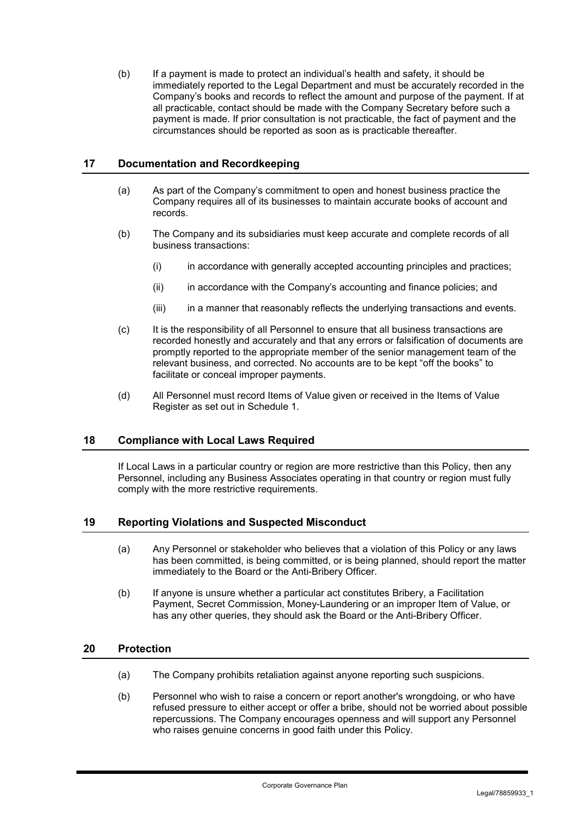(b) If a payment is made to protect an individual's health and safety, it should be immediately reported to the Legal Department and must be accurately recorded in the Company's books and records to reflect the amount and purpose of the payment. If at all practicable, contact should be made with the Company Secretary before such a payment is made. If prior consultation is not practicable, the fact of payment and the circumstances should be reported as soon as is practicable thereafter.

### **17 Documentation and Recordkeeping**

- (a) As part of the Company's commitment to open and honest business practice the Company requires all of its businesses to maintain accurate books of account and records.
- (b) The Company and its subsidiaries must keep accurate and complete records of all business transactions:
	- (i) in accordance with generally accepted accounting principles and practices;
	- (ii) in accordance with the Company's accounting and finance policies; and
	- (iii) in a manner that reasonably reflects the underlying transactions and events.
- (c) It is the responsibility of all Personnel to ensure that all business transactions are recorded honestly and accurately and that any errors or falsification of documents are promptly reported to the appropriate member of the senior management team of the relevant business, and corrected. No accounts are to be kept "off the books" to facilitate or conceal improper payments.
- (d) All Personnel must record Items of Value given or received in the Items of Value Register as set out in Schedule 1.

#### **18 Compliance with Local Laws Required**

If Local Laws in a particular country or region are more restrictive than this Policy, then any Personnel, including any Business Associates operating in that country or region must fully comply with the more restrictive requirements.

#### **19 Reporting Violations and Suspected Misconduct**

- (a) Any Personnel or stakeholder who believes that a violation of this Policy or any laws has been committed, is being committed, or is being planned, should report the matter immediately to the Board or the Anti-Bribery Officer.
- (b) If anyone is unsure whether a particular act constitutes Bribery, a Facilitation Payment, Secret Commission, Money-Laundering or an improper Item of Value, or has any other queries, they should ask the Board or the Anti-Bribery Officer.

#### **20 Protection**

- (a) The Company prohibits retaliation against anyone reporting such suspicions.
- (b) Personnel who wish to raise a concern or report another's wrongdoing, or who have refused pressure to either accept or offer a bribe, should not be worried about possible repercussions. The Company encourages openness and will support any Personnel who raises genuine concerns in good faith under this Policy.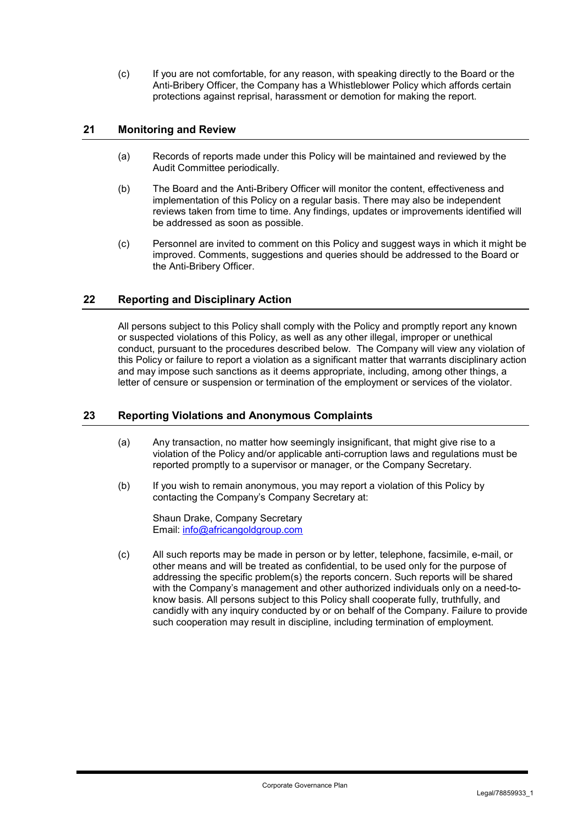(c) If you are not comfortable, for any reason, with speaking directly to the Board or the Anti-Bribery Officer, the Company has a Whistleblower Policy which affords certain protections against reprisal, harassment or demotion for making the report.

### **21 Monitoring and Review**

- (a) Records of reports made under this Policy will be maintained and reviewed by the Audit Committee periodically.
- (b) The Board and the Anti-Bribery Officer will monitor the content, effectiveness and implementation of this Policy on a regular basis. There may also be independent reviews taken from time to time. Any findings, updates or improvements identified will be addressed as soon as possible.
- (c) Personnel are invited to comment on this Policy and suggest ways in which it might be improved. Comments, suggestions and queries should be addressed to the Board or the Anti-Bribery Officer.

### **22 Reporting and Disciplinary Action**

All persons subject to this Policy shall comply with the Policy and promptly report any known or suspected violations of this Policy, as well as any other illegal, improper or unethical conduct, pursuant to the procedures described below. The Company will view any violation of this Policy or failure to report a violation as a significant matter that warrants disciplinary action and may impose such sanctions as it deems appropriate, including, among other things, a letter of censure or suspension or termination of the employment or services of the violator.

#### **23 Reporting Violations and Anonymous Complaints**

- (a) Any transaction, no matter how seemingly insignificant, that might give rise to a violation of the Policy and/or applicable anti-corruption laws and regulations must be reported promptly to a supervisor or manager, or the Company Secretary.
- (b) If you wish to remain anonymous, you may report a violation of this Policy by contacting the Company's Company Secretary at:

Shaun Drake, Company Secretary Email: info@africangoldgroup.com

(c) All such reports may be made in person or by letter, telephone, facsimile, e-mail, or other means and will be treated as confidential, to be used only for the purpose of addressing the specific problem(s) the reports concern. Such reports will be shared with the Company's management and other authorized individuals only on a need-toknow basis. All persons subject to this Policy shall cooperate fully, truthfully, and candidly with any inquiry conducted by or on behalf of the Company. Failure to provide such cooperation may result in discipline, including termination of employment.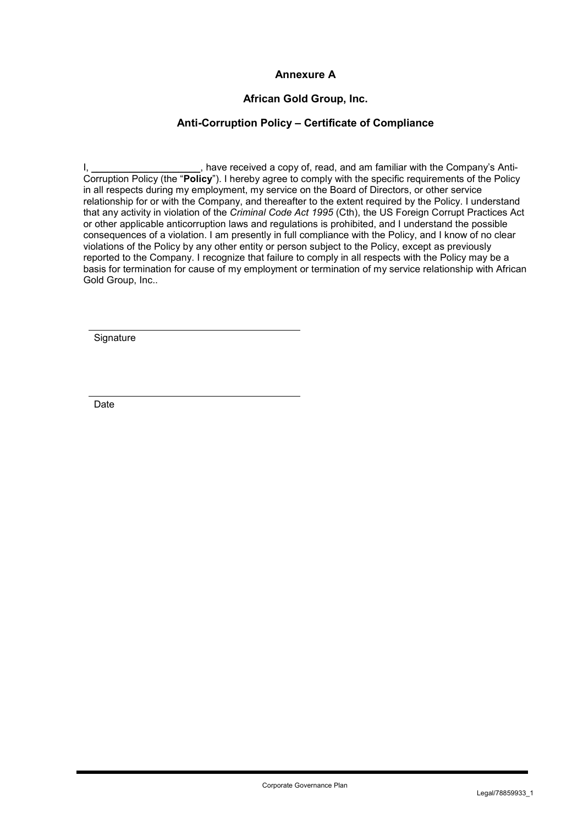## **Annexure A**

## **African Gold Group, Inc.**

## **Anti-Corruption Policy – Certificate of Compliance**

I, Letter the Company's Anti-Corruption Policy (the "**Policy**"). I hereby agree to comply with the specific requirements of the Policy in all respects during my employment, my service on the Board of Directors, or other service relationship for or with the Company, and thereafter to the extent required by the Policy. I understand that any activity in violation of the *Criminal Code Act 1995* (Cth), the US Foreign Corrupt Practices Act or other applicable anticorruption laws and regulations is prohibited, and I understand the possible consequences of a violation. I am presently in full compliance with the Policy, and I know of no clear violations of the Policy by any other entity or person subject to the Policy, except as previously reported to the Company. I recognize that failure to comply in all respects with the Policy may be a basis for termination for cause of my employment or termination of my service relationship with African Gold Group, Inc..

**Signature** 

Date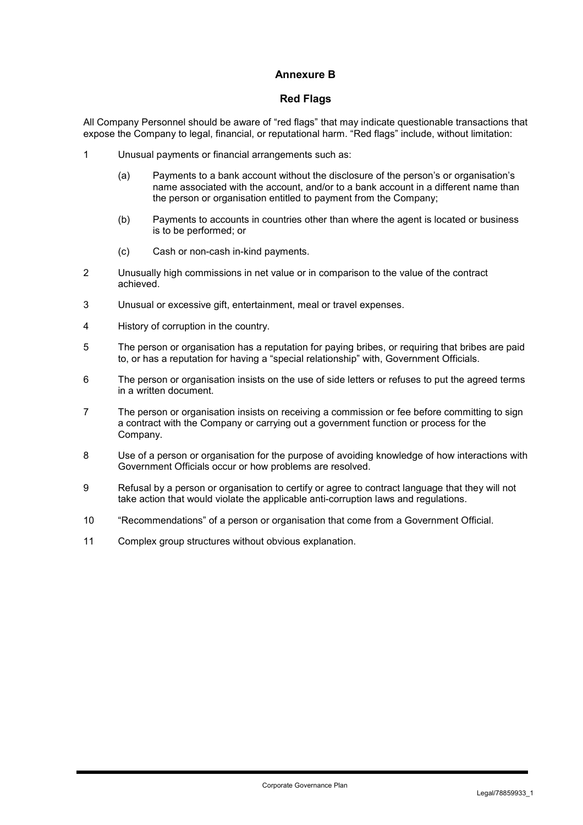## **Annexure B**

#### **Red Flags**

All Company Personnel should be aware of "red flags" that may indicate questionable transactions that expose the Company to legal, financial, or reputational harm. "Red flags" include, without limitation:

- 1 Unusual payments or financial arrangements such as:
	- (a) Payments to a bank account without the disclosure of the person's or organisation's name associated with the account, and/or to a bank account in a different name than the person or organisation entitled to payment from the Company;
	- (b) Payments to accounts in countries other than where the agent is located or business is to be performed; or
	- (c) Cash or non-cash in-kind payments.
- 2 Unusually high commissions in net value or in comparison to the value of the contract achieved.
- 3 Unusual or excessive gift, entertainment, meal or travel expenses.
- 4 History of corruption in the country.
- 5 The person or organisation has a reputation for paying bribes, or requiring that bribes are paid to, or has a reputation for having a "special relationship" with, Government Officials.
- 6 The person or organisation insists on the use of side letters or refuses to put the agreed terms in a written document.
- 7 The person or organisation insists on receiving a commission or fee before committing to sign a contract with the Company or carrying out a government function or process for the Company.
- 8 Use of a person or organisation for the purpose of avoiding knowledge of how interactions with Government Officials occur or how problems are resolved.
- 9 Refusal by a person or organisation to certify or agree to contract language that they will not take action that would violate the applicable anti-corruption laws and regulations.
- 10 "Recommendations" of a person or organisation that come from a Government Official.
- 11 Complex group structures without obvious explanation.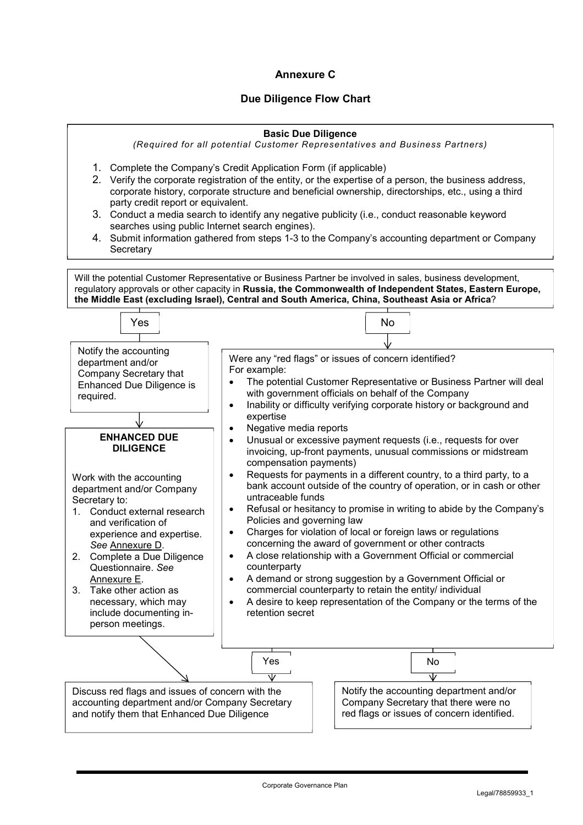# **Annexure C**

## **Due Diligence Flow Chart**

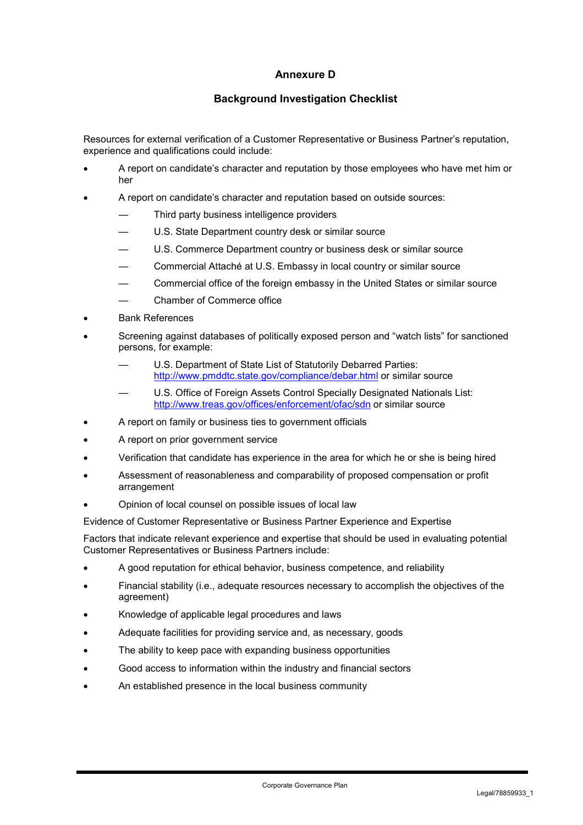# **Annexure D**

## **Background Investigation Checklist**

Resources for external verification of a Customer Representative or Business Partner's reputation, experience and qualifications could include:

- A report on candidate's character and reputation by those employees who have met him or her
- A report on candidate's character and reputation based on outside sources:
	- Third party business intelligence providers
	- U.S. State Department country desk or similar source
	- U.S. Commerce Department country or business desk or similar source
	- Commercial Attaché at U.S. Embassy in local country or similar source
	- Commercial office of the foreign embassy in the United States or similar source
	- Chamber of Commerce office
- Bank References
- Screening against databases of politically exposed person and "watch lists" for sanctioned persons, for example:
	- U.S. Department of State List of Statutorily Debarred Parties: http://www.pmddtc.state.gov/compliance/debar.html or similar source
	- U.S. Office of Foreign Assets Control Specially Designated Nationals List: http://www.treas.gov/offices/enforcement/ofac/sdn or similar source
- A report on family or business ties to government officials
- A report on prior government service
- Verification that candidate has experience in the area for which he or she is being hired
- Assessment of reasonableness and comparability of proposed compensation or profit arrangement
- Opinion of local counsel on possible issues of local law

Evidence of Customer Representative or Business Partner Experience and Expertise

Factors that indicate relevant experience and expertise that should be used in evaluating potential Customer Representatives or Business Partners include:

- A good reputation for ethical behavior, business competence, and reliability
- Financial stability (i.e., adequate resources necessary to accomplish the objectives of the agreement)
- Knowledge of applicable legal procedures and laws
- Adequate facilities for providing service and, as necessary, goods
- The ability to keep pace with expanding business opportunities
- Good access to information within the industry and financial sectors
- An established presence in the local business community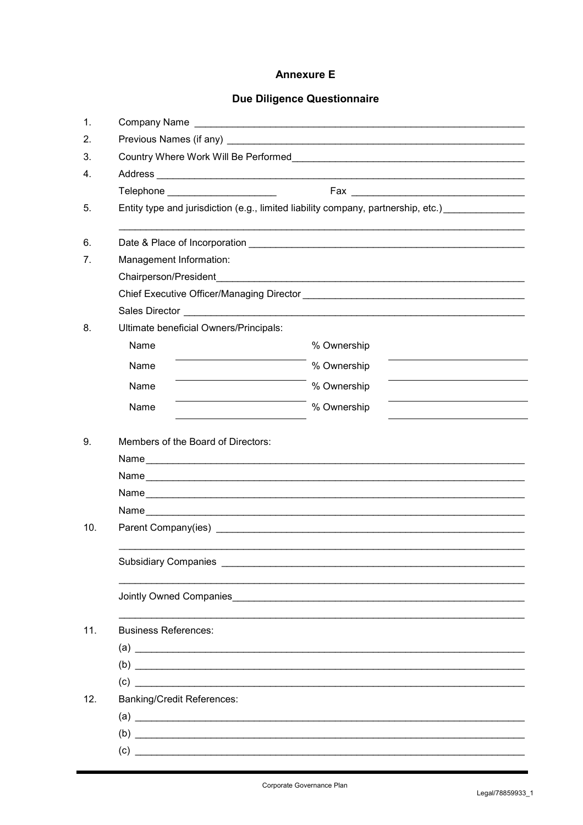# **Annexure E**

# Due Diligence Questionnaire

| 1.  |                                                                                   |             |  |
|-----|-----------------------------------------------------------------------------------|-------------|--|
| 2.  |                                                                                   |             |  |
| 3.  | Country Where Work Will Be Performed <b>Country Whene Work Will Be Performed</b>  |             |  |
| 4.  |                                                                                   |             |  |
|     | Telephone _______________________                                                 |             |  |
| 5.  | Entity type and jurisdiction (e.g., limited liability company, partnership, etc.) |             |  |
| 6.  |                                                                                   |             |  |
| 7.  | Management Information:                                                           |             |  |
|     |                                                                                   |             |  |
|     |                                                                                   |             |  |
|     |                                                                                   |             |  |
| 8.  | Ultimate beneficial Owners/Principals:                                            |             |  |
|     | Name                                                                              | % Ownership |  |
|     | Name                                                                              | % Ownership |  |
|     | Name                                                                              | % Ownership |  |
|     | Name                                                                              | % Ownership |  |
| 9.  | Members of the Board of Directors:                                                |             |  |
|     |                                                                                   |             |  |
|     |                                                                                   |             |  |
|     |                                                                                   |             |  |
|     |                                                                                   |             |  |
| 10. |                                                                                   |             |  |
|     |                                                                                   |             |  |
|     |                                                                                   |             |  |
|     |                                                                                   |             |  |
| 11. | <b>Business References:</b>                                                       |             |  |
|     |                                                                                   |             |  |
|     |                                                                                   |             |  |
|     | (c)                                                                               |             |  |
| 12. | <b>Banking/Credit References:</b>                                                 |             |  |
|     |                                                                                   |             |  |
|     |                                                                                   |             |  |
|     |                                                                                   |             |  |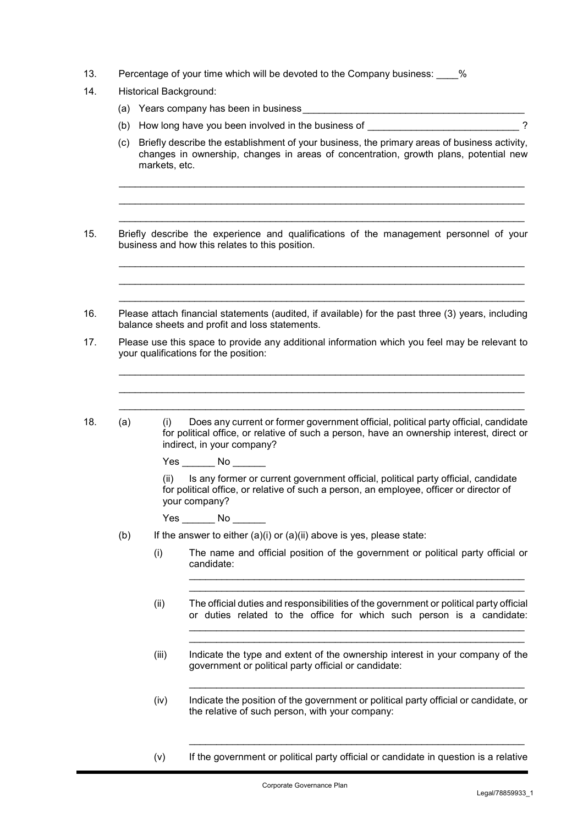- 13. Percentage of your time which will be devoted to the Company business:  $\%$
- 14. Historical Background:
	- (a) Years company has been in business
	- (b) How long have you been involved in the business of  $\frac{1}{2}$
	- (c) Briefly describe the establishment of your business, the primary areas of business activity, changes in ownership, changes in areas of concentration, growth plans, potential new markets, etc.

\_\_\_\_\_\_\_\_\_\_\_\_\_\_\_\_\_\_\_\_\_\_\_\_\_\_\_\_\_\_\_\_\_\_\_\_\_\_\_\_\_\_\_\_\_\_\_\_\_\_\_\_\_\_\_\_\_\_\_\_\_\_\_\_\_\_\_\_\_\_\_\_\_\_\_

 $\mathcal{L}_\mathcal{L} = \{ \mathcal{L}_\mathcal{L} = \{ \mathcal{L}_\mathcal{L} = \{ \mathcal{L}_\mathcal{L} = \{ \mathcal{L}_\mathcal{L} = \{ \mathcal{L}_\mathcal{L} = \{ \mathcal{L}_\mathcal{L} = \{ \mathcal{L}_\mathcal{L} = \{ \mathcal{L}_\mathcal{L} = \{ \mathcal{L}_\mathcal{L} = \{ \mathcal{L}_\mathcal{L} = \{ \mathcal{L}_\mathcal{L} = \{ \mathcal{L}_\mathcal{L} = \{ \mathcal{L}_\mathcal{L} = \{ \mathcal{L}_\mathcal{$ 

 $\mathcal{L}_\mathcal{L} = \{ \mathcal{L}_\mathcal{L} = \{ \mathcal{L}_\mathcal{L} = \{ \mathcal{L}_\mathcal{L} = \{ \mathcal{L}_\mathcal{L} = \{ \mathcal{L}_\mathcal{L} = \{ \mathcal{L}_\mathcal{L} = \{ \mathcal{L}_\mathcal{L} = \{ \mathcal{L}_\mathcal{L} = \{ \mathcal{L}_\mathcal{L} = \{ \mathcal{L}_\mathcal{L} = \{ \mathcal{L}_\mathcal{L} = \{ \mathcal{L}_\mathcal{L} = \{ \mathcal{L}_\mathcal{L} = \{ \mathcal{L}_\mathcal{$ 

- 15. Briefly describe the experience and qualifications of the management personnel of your business and how this relates to this position.
- 16. Please attach financial statements (audited, if available) for the past three (3) years, including balance sheets and profit and loss statements.
- 17. Please use this space to provide any additional information which you feel may be relevant to your qualifications for the position:
	-

18. (a) (i) Does any current or former government official, political party official, candidate for political office, or relative of such a person, have an ownership interest, direct or indirect, in your company?

Yes No  $\blacksquare$ 

(ii) Is any former or current government official, political party official, candidate for political office, or relative of such a person, an employee, officer or director of your company?

Yes No No

- (b) If the answer to either  $(a)(i)$  or  $(a)(ii)$  above is yes, please state:
	- (i) The name and official position of the government or political party official or candidate:
	- (ii) The official duties and responsibilities of the government or political party official or duties related to the office for which such person is a candidate: \_\_\_\_\_\_\_\_\_\_\_\_\_\_\_\_\_\_\_\_\_\_\_\_\_\_\_\_\_\_\_\_\_\_\_\_\_\_\_\_\_\_\_\_\_\_\_\_\_\_\_\_\_\_\_\_\_\_\_\_\_\_
	- (iii) Indicate the type and extent of the ownership interest in your company of the government or political party official or candidate:

 $\mathcal{L}_\mathcal{L} = \mathcal{L}_\mathcal{L} = \mathcal{L}_\mathcal{L} = \mathcal{L}_\mathcal{L} = \mathcal{L}_\mathcal{L} = \mathcal{L}_\mathcal{L} = \mathcal{L}_\mathcal{L} = \mathcal{L}_\mathcal{L} = \mathcal{L}_\mathcal{L} = \mathcal{L}_\mathcal{L} = \mathcal{L}_\mathcal{L} = \mathcal{L}_\mathcal{L} = \mathcal{L}_\mathcal{L} = \mathcal{L}_\mathcal{L} = \mathcal{L}_\mathcal{L} = \mathcal{L}_\mathcal{L} = \mathcal{L}_\mathcal{L}$ 

(iv) Indicate the position of the government or political party official or candidate, or the relative of such person, with your company:

 $\mathcal{L}_\text{max}$  and  $\mathcal{L}_\text{max}$  and  $\mathcal{L}_\text{max}$  and  $\mathcal{L}_\text{max}$  and  $\mathcal{L}_\text{max}$  and  $\mathcal{L}_\text{max}$ 

(v) If the government or political party official or candidate in question is a relative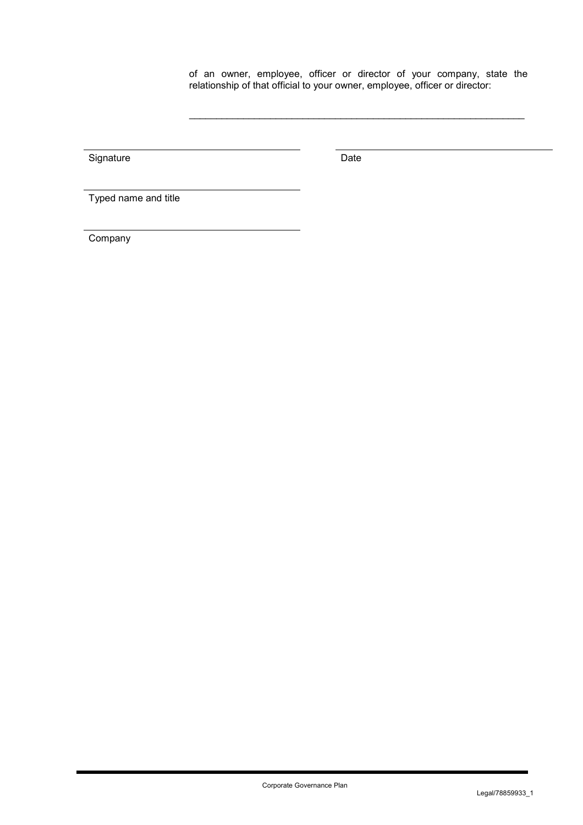of an owner, employee, officer or director of your company, state the relationship of that official to your owner, employee, officer or director:

Signature Date Date

Typed name and title

Company